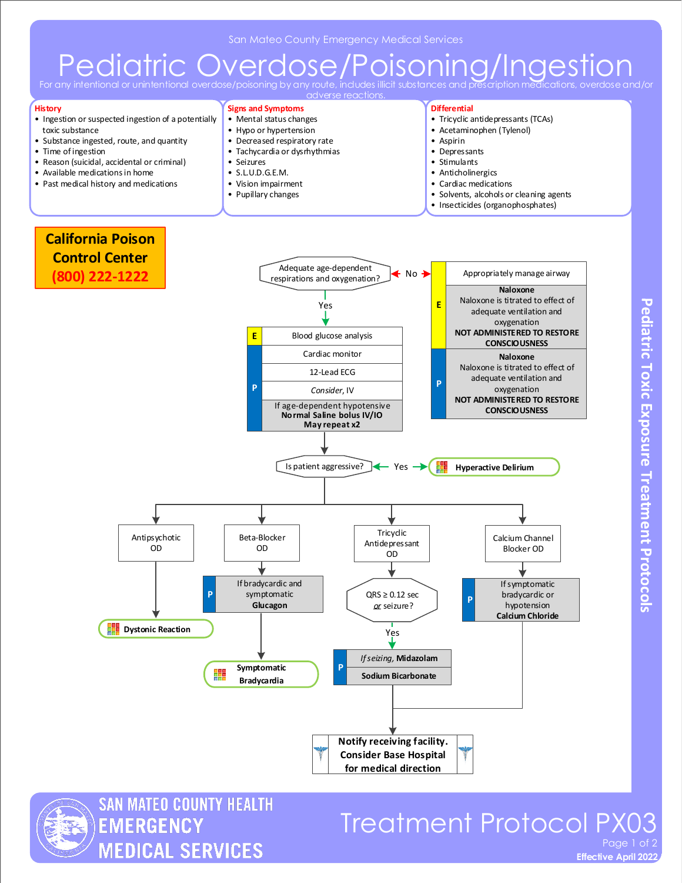# Pediatric Overdose/Poisoning/Ingestion

For any intentional or uninten adverse reactions.

#### **History**

- Ingestion or suspected ingestion of a potentially toxic substance
- Substance ingested, route, and quantity
- Time of ingestion
- Reason (suicidal, accidental or criminal)
- Available medications in home
- Past medical history and medications

#### **Signs and Symptoms**

- Mental status changes
- Hypo or hypertension
- Decreased respiratory rate
- Tachycardia or dysrhythmias • Seizures
- 
- S.L.U.D.G.E.M.
- Vision impairment
- Pupillary changes

### **Differential**

- Tricyclic antidepressants (TCAs)
- Acetaminophen (Tylenol)
- Aspirin
- Depressants
- Stimulants
- Anticholinergics
- Cardiac medications
- Solvents, alcohols or cleaning agents
- Insecticides (organophosphates)





SAN MATEO COUNTY HEALTH **EMERGENCY MEDICAL SERVICES** 

## **Treatment Protocol PX0** Page 1

**Effective April 2022**